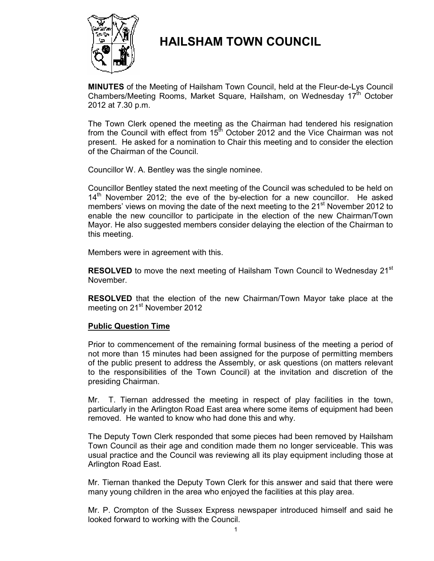

# **HAILSHAM TOWN COUNCIL**

**MINUTES** of the Meeting of Hailsham Town Council, held at the Fleur-de-Lys Council Chambers/Meeting Rooms, Market Square, Hailsham, on Wednesday  $17<sup>th</sup>$  October 2012 at 7.30 p.m.

 The Town Clerk opened the meeting as the Chairman had tendered his resignation from the Council with effect from  $15<sup>th</sup>$  October 2012 and the Vice Chairman was not present. He asked for a nomination to Chair this meeting and to consider the election of the Chairman of the Council.

Councillor W. A. Bentley was the single nominee.

Councillor Bentley stated the next meeting of the Council was scheduled to be held on  $14<sup>th</sup>$  November 2012; the eve of the by-election for a new councillor. He asked members' views on moving the date of the next meeting to the 21<sup>st</sup> November 2012 to enable the new councillor to participate in the election of the new Chairman/Town Mayor. He also suggested members consider delaying the election of the Chairman to this meeting.

Members were in agreement with this.

**RESOLVED** to move the next meeting of Hailsham Town Council to Wednesday 21<sup>st</sup> November.

**RESOLVED** that the election of the new Chairman/Town Mayor take place at the meeting on 21<sup>st</sup> November 2012

# **Public Question Time**

Prior to commencement of the remaining formal business of the meeting a period of not more than 15 minutes had been assigned for the purpose of permitting members of the public present to address the Assembly, or ask questions (on matters relevant to the responsibilities of the Town Council) at the invitation and discretion of the presiding Chairman.

Mr. T. Tiernan addressed the meeting in respect of play facilities in the town, particularly in the Arlington Road East area where some items of equipment had been removed. He wanted to know who had done this and why.

The Deputy Town Clerk responded that some pieces had been removed by Hailsham Town Council as their age and condition made them no longer serviceable. This was usual practice and the Council was reviewing all its play equipment including those at Arlington Road East.

Mr. Tiernan thanked the Deputy Town Clerk for this answer and said that there were many young children in the area who enjoyed the facilities at this play area.

Mr. P. Crompton of the Sussex Express newspaper introduced himself and said he looked forward to working with the Council.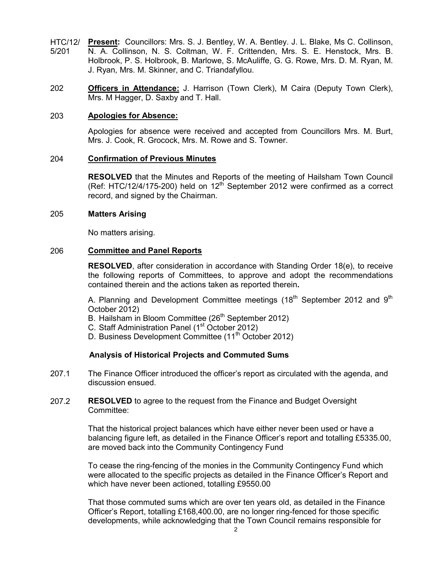- HTC/12/ 5/201 **Present:** Councillors: Mrs. S. J. Bentley, W. A. Bentley. J. L. Blake, Ms C. Collinson, N. A. Collinson, N. S. Coltman, W. F. Crittenden, Mrs. S. E. Henstock, Mrs. B. Holbrook, P. S. Holbrook, B. Marlowe, S. McAuliffe, G. G. Rowe, Mrs. D. M. Ryan, M. J. Ryan, Mrs. M. Skinner, and C. Triandafyllou.
- 202 **Officers in Attendance:** J. Harrison (Town Clerk), M Caira (Deputy Town Clerk), Mrs. M Hagger, D. Saxby and T. Hall.

#### 203 **Apologies for Absence:**

Apologies for absence were received and accepted from Councillors Mrs. M. Burt, Mrs. J. Cook, R. Grocock, Mrs. M. Rowe and S. Towner.

#### 204 **Confirmation of Previous Minutes**

**RESOLVED** that the Minutes and Reports of the meeting of Hailsham Town Council (Ref: HTC/12/4/175-200) held on  $12<sup>th</sup>$  September 2012 were confirmed as a correct record, and signed by the Chairman.

#### 205 **Matters Arising**

No matters arising.

#### 206 **Committee and Panel Reports**

**RESOLVED**, after consideration in accordance with Standing Order 18(e), to receive the following reports of Committees, to approve and adopt the recommendations contained therein and the actions taken as reported therein**.** 

A. Planning and Development Committee meetings (18<sup>th</sup> September 2012 and 9<sup>th</sup> October 2012)

- B. Hailsham in Bloom Committee (26<sup>th</sup> September 2012)
- C. Staff Administration Panel (1<sup>st</sup> October 2012)
- D. Business Development Committee (11<sup>th</sup> October 2012)

# **Analysis of Historical Projects and Commuted Sums**

- 207.1 The Finance Officer introduced the officer's report as circulated with the agenda, and discussion ensued.
- 207.2 **RESOLVED** to agree to the request from the Finance and Budget Oversight Committee:

That the historical project balances which have either never been used or have a balancing figure left, as detailed in the Finance Officer's report and totalling £5335.00, are moved back into the Community Contingency Fund

To cease the ring-fencing of the monies in the Community Contingency Fund which were allocated to the specific projects as detailed in the Finance Officer's Report and which have never been actioned, totalling £9550.00

That those commuted sums which are over ten years old, as detailed in the Finance Officer's Report, totalling £168,400.00, are no longer ring-fenced for those specific developments, while acknowledging that the Town Council remains responsible for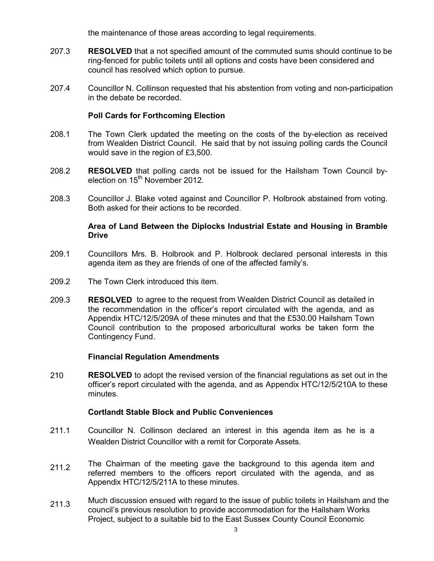the maintenance of those areas according to legal requirements.

- 207.3 **RESOLVED** that a not specified amount of the commuted sums should continue to be ring-fenced for public toilets until all options and costs have been considered and council has resolved which option to pursue.
- 207.4 Councillor N. Collinson requested that his abstention from voting and non-participation in the debate be recorded.

# **Poll Cards for Forthcoming Election**

- 208.1 The Town Clerk updated the meeting on the costs of the by-election as received from Wealden District Council. He said that by not issuing polling cards the Council would save in the region of £3,500.
- 208.2 **RESOLVED** that polling cards not be issued for the Hailsham Town Council byelection on 15<sup>th</sup> November 2012.
- 208.3 Councillor J. Blake voted against and Councillor P. Holbrook abstained from voting. Both asked for their actions to be recorded.

# **Area of Land Between the Diplocks Industrial Estate and Housing in Bramble Drive**

- 209.1 Councillors Mrs. B. Holbrook and P. Holbrook declared personal interests in this agenda item as they are friends of one of the affected family's.
- 209.2 The Town Clerk introduced this item.
- 209.3 **RESOLVED** to agree to the request from Wealden District Council as detailed in the recommendation in the officer's report circulated with the agenda, and as Appendix HTC/12/5/209A of these minutes and that the £530.00 Hailsham Town Council contribution to the proposed arboricultural works be taken form the Contingency Fund.

# **Financial Regulation Amendments**

210 **RESOLVED** to adopt the revised version of the financial regulations as set out in the officer's report circulated with the agenda, and as Appendix HTC/12/5/210A to these minutes.

# **Cortlandt Stable Block and Public Conveniences**

- 211.1 Councillor N. Collinson declared an interest in this agenda item as he is a Wealden District Councillor with a remit for Corporate Assets.
- 211.2 The Chairman of the meeting gave the background to this agenda item and referred members to the officers report circulated with the agenda, and as Appendix HTC/12/5/211A to these minutes.
- 211.3 Much discussion ensued with regard to the issue of public toilets in Hailsham and the council's previous resolution to provide accommodation for the Hailsham Works Project, subject to a suitable bid to the East Sussex County Council Economic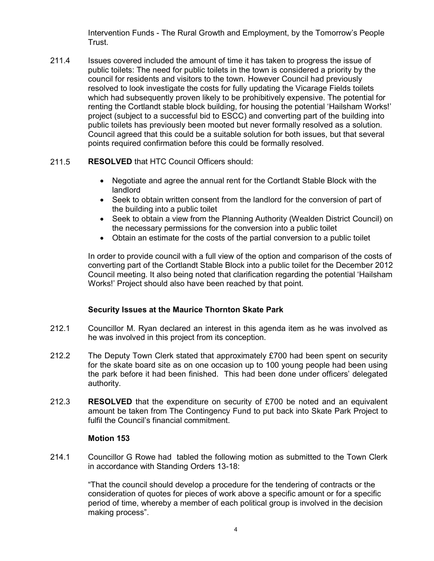Intervention Funds - The Rural Growth and Employment, by the Tomorrow's People Trust.

211.4 Issues covered included the amount of time it has taken to progress the issue of public toilets: The need for public toilets in the town is considered a priority by the council for residents and visitors to the town. However Council had previously resolved to look investigate the costs for fully updating the Vicarage Fields toilets which had subsequently proven likely to be prohibitively expensive. The potential for renting the Cortlandt stable block building, for housing the potential 'Hailsham Works!' project (subject to a successful bid to ESCC) and converting part of the building into public toilets has previously been mooted but never formally resolved as a solution. Council agreed that this could be a suitable solution for both issues, but that several points required confirmation before this could be formally resolved.

#### 211.5 **RESOLVED** that HTC Council Officers should:

- Negotiate and agree the annual rent for the Cortlandt Stable Block with the landlord
- Seek to obtain written consent from the landlord for the conversion of part of the building into a public toilet
- Seek to obtain a view from the Planning Authority (Wealden District Council) on the necessary permissions for the conversion into a public toilet
- Obtain an estimate for the costs of the partial conversion to a public toilet

In order to provide council with a full view of the option and comparison of the costs of converting part of the Cortlandt Stable Block into a public toilet for the December 2012 Council meeting. It also being noted that clarification regarding the potential 'Hailsham Works!' Project should also have been reached by that point.

# **Security Issues at the Maurice Thornton Skate Park**

- 212.1 Councillor M. Ryan declared an interest in this agenda item as he was involved as he was involved in this project from its conception.
- 212.2 The Deputy Town Clerk stated that approximately £700 had been spent on security for the skate board site as on one occasion up to 100 young people had been using the park before it had been finished. This had been done under officers' delegated authority.
- 212.3 **RESOLVED** that the expenditure on security of £700 be noted and an equivalent amount be taken from The Contingency Fund to put back into Skate Park Project to fulfil the Council's financial commitment.

# **Motion 153**

214.1 Councillor G Rowe had tabled the following motion as submitted to the Town Clerk in accordance with Standing Orders 13-18:

> "That the council should develop a procedure for the tendering of contracts or the consideration of quotes for pieces of work above a specific amount or for a specific period of time, whereby a member of each political group is involved in the decision making process".